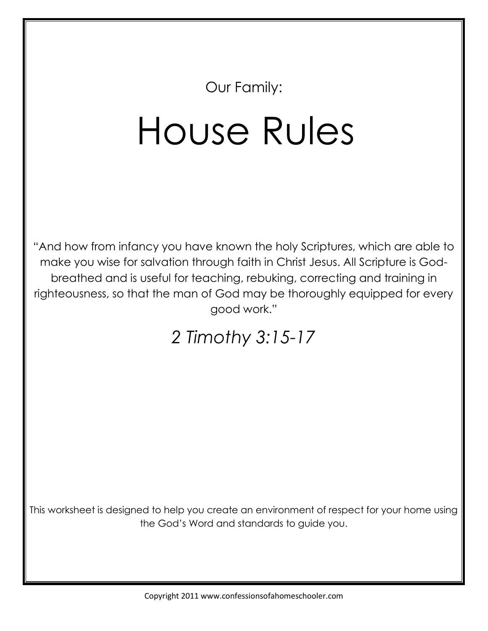Our Family:

## House Rules

"And how from infancy you have known the holy Scriptures, which are able to make you wise for salvation through faith in Christ Jesus. All Scripture is Godbreathed and is useful for teaching, rebuking, correcting and training in righteousness, so that the man of God may be thoroughly equipped for every good work."

## *2 Timothy 3:15-17*

This worksheet is designed to help you create an environment of respect for your home using the God's Word and standards to guide you.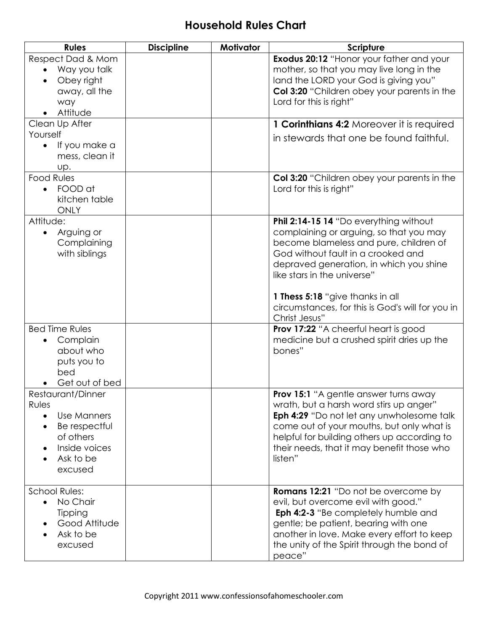## **Household Rules Chart**

| <b>Rules</b>                                                                                                                                                   | <b>Discipline</b> | Motivator | <b>Scripture</b>                                                                                                                                                                                                                                                                                                                                     |
|----------------------------------------------------------------------------------------------------------------------------------------------------------------|-------------------|-----------|------------------------------------------------------------------------------------------------------------------------------------------------------------------------------------------------------------------------------------------------------------------------------------------------------------------------------------------------------|
| Respect Dad & Mom<br>Way you talk<br>$\bullet$<br>Obey right<br>$\bullet$<br>away, all the<br>way<br>Attitude<br>$\bullet$                                     |                   |           | <b>Exodus 20:12 "Honor your father and your</b><br>mother, so that you may live long in the<br>land the LORD your God is giving you"<br>Col 3:20 "Children obey your parents in the<br>Lord for this is right"                                                                                                                                       |
| Clean Up After                                                                                                                                                 |                   |           | 1 Corinthians 4:2 Moreover it is required                                                                                                                                                                                                                                                                                                            |
| Yourself<br>If you make a<br>$\bullet$<br>mess, clean it<br>Up.                                                                                                |                   |           | in stewards that one be found faithful.                                                                                                                                                                                                                                                                                                              |
| <b>Food Rules</b><br>FOOD at<br>$\bullet$<br>kitchen table<br>ONLY                                                                                             |                   |           | <b>Col 3:20</b> "Children obey your parents in the<br>Lord for this is right"                                                                                                                                                                                                                                                                        |
| Attitude:<br>Arguing or<br>$\bullet$<br>Complaining<br>with siblings                                                                                           |                   |           | Phil 2:14-15 14 "Do everything without<br>complaining or arguing, so that you may<br>become blameless and pure, children of<br>God without fault in a crooked and<br>depraved generation, in which you shine<br>like stars in the universe"<br>1 Thess 5:18 "give thanks in all<br>circumstances, for this is God's will for you in<br>Christ Jesus" |
| <b>Bed Time Rules</b><br>Complain<br>about who<br>puts you to<br>bed<br>Get out of bed                                                                         |                   |           | <b>Prov 17:22</b> "A cheerful heart is good<br>medicine but a crushed spirit dries up the<br>bones"                                                                                                                                                                                                                                                  |
| Restaurant/Dinner<br>Rules<br><b>Use Manners</b><br>$\bullet$<br>Be respectful<br>$\bullet$<br>of others<br>Inside voices<br>$\bullet$<br>Ask to be<br>excused |                   |           | <b>Prov 15:1</b> "A gentle answer turns away<br>wrath, but a harsh word stirs up anger"<br>Eph 4:29 "Do not let any unwholesome talk<br>come out of your mouths, but only what is<br>helpful for building others up according to<br>their needs, that it may benefit those who<br>listen"                                                            |
| <b>School Rules:</b><br>No Chair<br>$\bullet$<br>Tipping<br>Good Attitude<br>Ask to be<br>excused                                                              |                   |           | <b>Romans 12:21</b> "Do not be overcome by<br>evil, but overcome evil with good."<br>Eph 4:2-3 "Be completely humble and<br>gentle; be patient, bearing with one<br>another in love. Make every effort to keep<br>the unity of the Spirit through the bond of<br>peace"                                                                              |